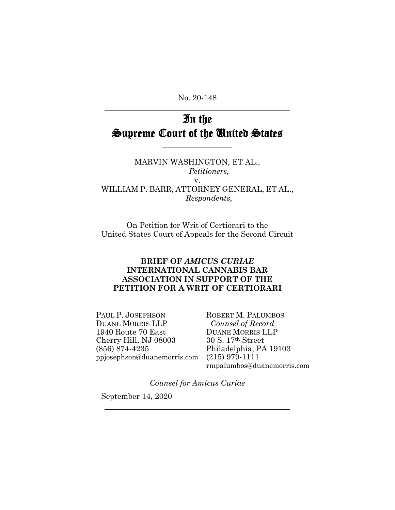No. 20-148

# In the Supreme Court of the United States

 $\overline{a}$ 

 $\overline{a}$ 

 $\overline{a}$ 

 $\overline{a}$ 

MARVIN WASHINGTON, ET AL., *Petitioners,*

v. WILLIAM P. BARR, ATTORNEY GENERAL, ET AL., *Respondents,*

On Petition for Writ of Certiorari to the United States Court of Appeals for the Second Circuit

# **BRIEF OF** *AMICUS CURIAE* **INTERNATIONAL CANNABIS BAR ASSOCIATION IN SUPPORT OF THE PETITION FOR A WRIT OF CERTIORARI**

PAUL P. JOSEPHSON DUANE MORRIS LLP 1940 Route 70 East Cherry Hill, NJ 08003 (856) 874-4235 ppjosephson@duanemorris.com (215) 979-1111

ROBERT M. PALUMBOS  *Counsel of Record* DUANE MORRIS LLP  $30$  S.  $17^{\rm th}$  Street Philadelphia, PA 19103 rmpalumbos@duanemorris.com

*Counsel for Amicus Curiae*

September 14, 2020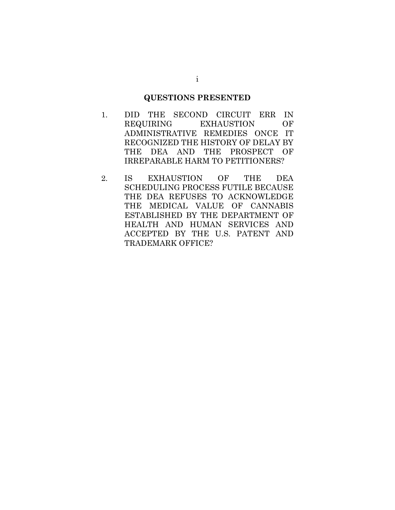# **QUESTIONS PRESENTED**

- 1. DID THE SECOND CIRCUIT ERR IN REQUIRING EXHAUSTION OF ADMINISTRATIVE REMEDIES ONCE IT RECOGNIZED THE HISTORY OF DELAY BY THE DEA AND THE PROSPECT OF IRREPARABLE HARM TO PETITIONERS?
- 2. IS EXHAUSTION OF THE DEA SCHEDULING PROCESS FUTILE BECAUSE THE DEA REFUSES TO ACKNOWLEDGE THE MEDICAL VALUE OF CANNABIS ESTABLISHED BY THE DEPARTMENT OF HEALTH AND HUMAN SERVICES AND ACCEPTED BY THE U.S. PATENT AND TRADEMARK OFFICE?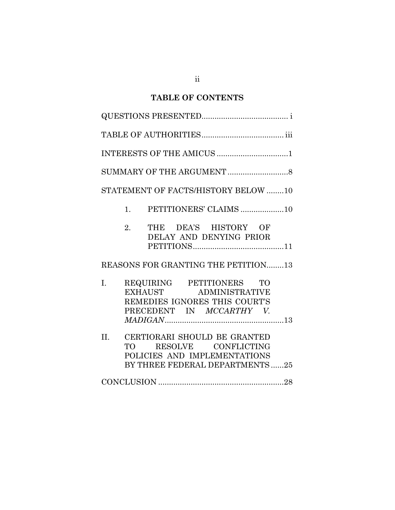# **TABLE OF CONTENTS**

| INTERESTS OF THE AMICUS 1                                                                                                                     |
|-----------------------------------------------------------------------------------------------------------------------------------------------|
|                                                                                                                                               |
| STATEMENT OF FACTS/HISTORY BELOW 10                                                                                                           |
| PETITIONERS' CLAIMS 10<br>1.                                                                                                                  |
| THE DEA'S HISTORY OF<br>2.<br>DELAY AND DENYING PRIOR                                                                                         |
| REASONS FOR GRANTING THE PETITION13                                                                                                           |
| REQUIRING PETITIONERS TO<br>I.<br>EXHAUST ADMINISTRATIVE<br>REMEDIES IGNORES THIS COURT'S<br>PRECEDENT IN MCCARTHY V.                         |
| $\Pi$ .<br>CERTIORARI SHOULD BE GRANTED<br>RESOLVE CONFLICTING<br><b>TO</b><br>POLICIES AND IMPLEMENTATIONS<br>BY THREE FEDERAL DEPARTMENTS25 |
|                                                                                                                                               |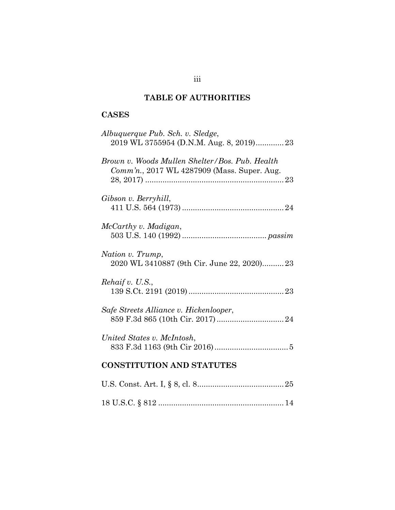# **TABLE OF AUTHORITIES**

# **CASES**

| Albuquerque Pub. Sch. v. Sledge,<br>2019 WL 3755954 (D.N.M. Aug. 8, 2019)23                   |
|-----------------------------------------------------------------------------------------------|
| Brown v. Woods Mullen Shelter/Bos. Pub. Health<br>Comm'n., 2017 WL 4287909 (Mass. Super. Aug. |
| Gibson v. Berryhill,                                                                          |
| McCarthy v. Madigan,                                                                          |
| Nation v. Trump,<br>2020 WL 3410887 (9th Cir. June 22, 2020)23                                |
| Rehaif v. U.S.,                                                                               |
| Safe Streets Alliance v. Hickenlooper,                                                        |
| United States v. McIntosh,                                                                    |
| <b>CONSTITUTION AND STATUTES</b>                                                              |
|                                                                                               |

18 U.S.C. § 812 ..........................................................14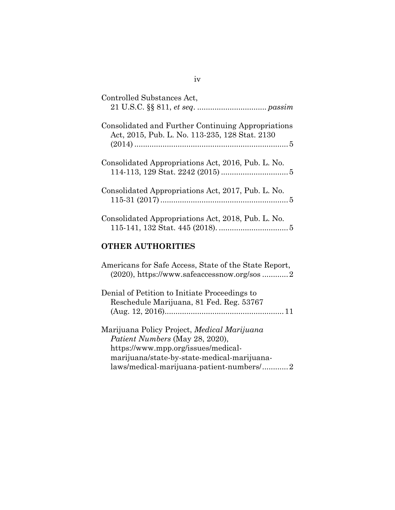| Controlled Substances Act,                                                                           |
|------------------------------------------------------------------------------------------------------|
| Consolidated and Further Continuing Appropriations<br>Act, 2015, Pub. L. No. 113-235, 128 Stat. 2130 |
| Consolidated Appropriations Act, 2016, Pub. L. No.                                                   |
| Consolidated Appropriations Act, 2017, Pub. L. No.                                                   |
| Consolidated Appropriations Act, 2018, Pub. L. No.                                                   |
| <b>OTHER AUTHORITIES</b>                                                                             |

| Americans for Safe Access, State of the State Report,<br>(2020), https://www.safeaccessnow.org/sos2                                                                                                              |
|------------------------------------------------------------------------------------------------------------------------------------------------------------------------------------------------------------------|
| Denial of Petition to Initiate Proceedings to<br>Reschedule Marijuana, 81 Fed. Reg. 53767                                                                                                                        |
| Marijuana Policy Project, Medical Marijuana<br>Patient Numbers (May 28, 2020),<br>https://www.mpp.org/issues/medical-<br>marijuana/state-by-state-medical-marijuana-<br>laws/medical-marijuana-patient-numbers/2 |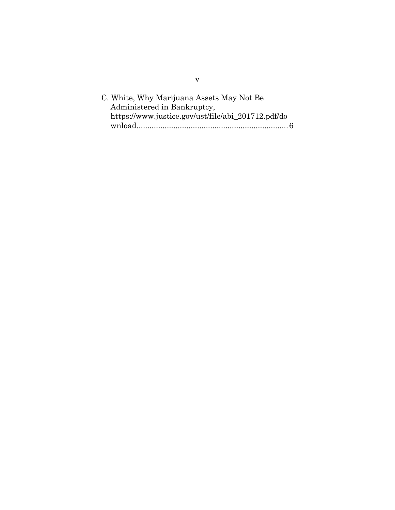v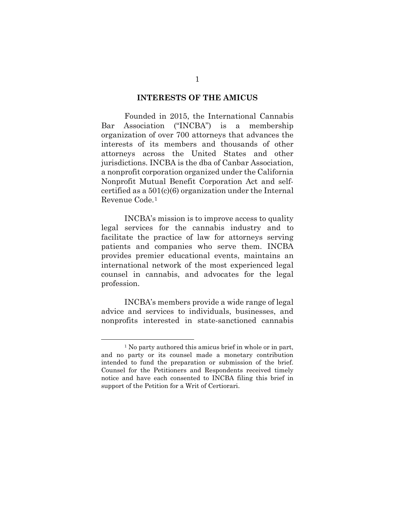#### **INTERESTS OF THE AMICUS**

Founded in 2015, the International Cannabis Bar Association ("INCBA") is a membership organization of over 700 attorneys that advances the interests of its members and thousands of other attorneys across the United States and other jurisdictions. INCBA is the dba of Canbar Association, a nonprofit corporation organized under the California Nonprofit Mutual Benefit Corporation Act and selfcertified as a 501(c)(6) organization under the Internal Revenue Code.[1](#page-6-0)

INCBA's mission is to improve access to quality legal services for the cannabis industry and to facilitate the practice of law for attorneys serving patients and companies who serve them. INCBA provides premier educational events, maintains an international network of the most experienced legal counsel in cannabis, and advocates for the legal profession.

INCBA's members provide a wide range of legal advice and services to individuals, businesses, and nonprofits interested in state-sanctioned cannabis

<span id="page-6-0"></span><sup>&</sup>lt;sup>1</sup> No party authored this amicus brief in whole or in part, and no party or its counsel made a monetary contribution intended to fund the preparation or submission of the brief. Counsel for the Petitioners and Respondents received timely notice and have each consented to INCBA filing this brief in support of the Petition for a Writ of Certiorari.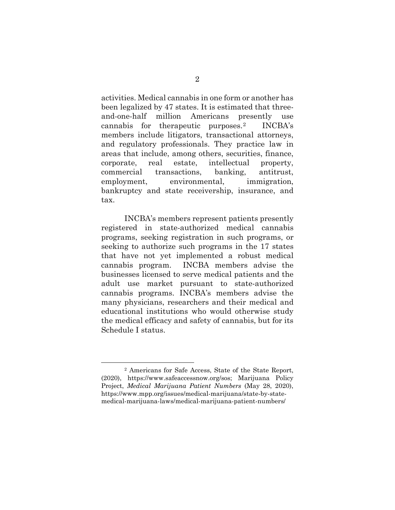activities. Medical cannabis in one form or another has been legalized by 47 states. It is estimated that threeand-one-half million Americans presently use cannabis for therapeutic purposes.[2](#page-7-0) INCBA's members include litigators, transactional attorneys, and regulatory professionals. They practice law in areas that include, among others, securities, finance, corporate, real estate, intellectual property, commercial transactions, banking, antitrust, employment, environmental, immigration, bankruptcy and state receivership, insurance, and tax.

INCBA's members represent patients presently registered in state-authorized medical cannabis programs, seeking registration in such programs, or seeking to authorize such programs in the 17 states that have not yet implemented a robust medical cannabis program. INCBA members advise the businesses licensed to serve medical patients and the adult use market pursuant to state-authorized cannabis programs. INCBA's members advise the many physicians, researchers and their medical and educational institutions who would otherwise study the medical efficacy and safety of cannabis, but for its Schedule I status.

<span id="page-7-0"></span><sup>2</sup> Americans for Safe Access, State of the State Report, (2020), https://www.safeaccessnow.org/sos; Marijuana Policy Project, *Medical Marijuana Patient Numbers* (May 28, 2020), https://www.mpp.org/issues/medical-marijuana/state-by-statemedical-marijuana-laws/medical-marijuana-patient-numbers/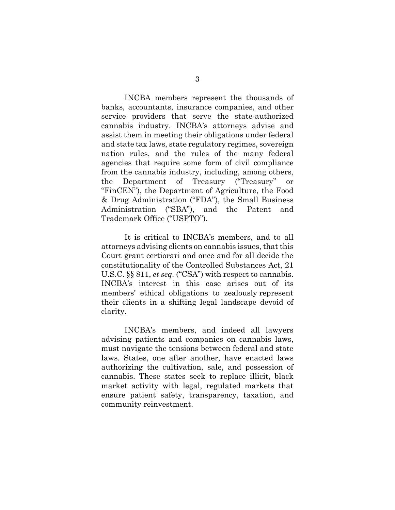INCBA members represent the thousands of banks, accountants, insurance companies, and other service providers that serve the state-authorized cannabis industry. INCBA's attorneys advise and assist them in meeting their obligations under federal and state tax laws, state regulatory regimes, sovereign nation rules, and the rules of the many federal agencies that require some form of civil compliance from the cannabis industry, including, among others, the Department of Treasury ("Treasury" or "FinCEN"), the Department of Agriculture, the Food & Drug Administration ("FDA"), the Small Business Administration ("SBA"), and the Patent and Trademark Office ("USPTO").

It is critical to INCBA's members, and to all attorneys advising clients on cannabis issues, that this Court grant certiorari and once and for all decide the constitutionality of the Controlled Substances Act, 21 U.S.C. §§ 811, *et seq*. ("CSA") with respect to cannabis. INCBA's interest in this case arises out of its members' ethical obligations to zealously represent their clients in a shifting legal landscape devoid of clarity.

INCBA's members, and indeed all lawyers advising patients and companies on cannabis laws, must navigate the tensions between federal and state laws. States, one after another, have enacted laws authorizing the cultivation, sale, and possession of cannabis. These states seek to replace illicit, black market activity with legal, regulated markets that ensure patient safety, transparency, taxation, and community reinvestment.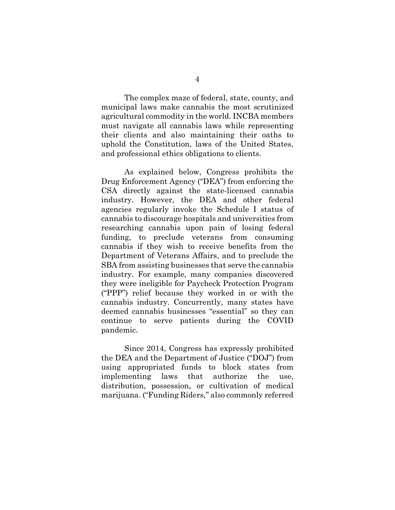The complex maze of federal, state, county, and municipal laws make cannabis the most scrutinized agricultural commodity in the world. INCBA members must navigate all cannabis laws while representing their clients and also maintaining their oaths to uphold the Constitution, laws of the United States, and professional ethics obligations to clients.

As explained below, Congress prohibits the Drug Enforcement Agency ("DEA") from enforcing the CSA directly against the state-licensed cannabis industry. However, the DEA and other federal agencies regularly invoke the Schedule I status of cannabis to discourage hospitals and universities from researching cannabis upon pain of losing federal funding, to preclude veterans from consuming cannabis if they wish to receive benefits from the Department of Veterans Affairs, and to preclude the SBA from assisting businesses that serve the cannabis industry. For example, many companies discovered they were ineligible for Paycheck Protection Program ("PPP") relief because they worked in or with the cannabis industry. Concurrently, many states have deemed cannabis businesses "essential" so they can continue to serve patients during the COVID pandemic.

Since 2014, Congress has expressly prohibited the DEA and the Department of Justice ("DOJ") from using appropriated funds to block states from implementing laws that authorize the use, distribution, possession, or cultivation of medical marijuana. ("Funding Riders," also commonly referred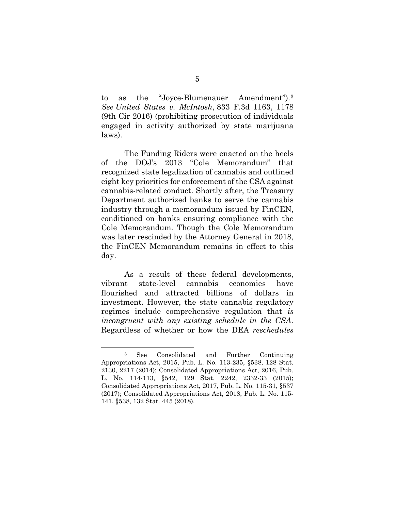to as the "Joyce-Blumenauer Amendment").[3](#page-10-0) *See United States v. McIntosh*, 833 F.3d 1163, 1178 (9th Cir 2016) (prohibiting prosecution of individuals engaged in activity authorized by state marijuana laws).

The Funding Riders were enacted on the heels of the DOJ's 2013 "Cole Memorandum" that recognized state legalization of cannabis and outlined eight key priorities for enforcement of the CSA against cannabis-related conduct. Shortly after, the Treasury Department authorized banks to serve the cannabis industry through a memorandum issued by FinCEN, conditioned on banks ensuring compliance with the Cole Memorandum. Though the Cole Memorandum was later rescinded by the Attorney General in 2018, the FinCEN Memorandum remains in effect to this day.

As a result of these federal developments, vibrant state-level cannabis economies have flourished and attracted billions of dollars in investment. However, the state cannabis regulatory regimes include comprehensive regulation that *is incongruent with any existing schedule in the CSA*. Regardless of whether or how the DEA *reschedules*

<span id="page-10-0"></span><sup>3</sup> See Consolidated and Further Continuing Appropriations Act, 2015, Pub. L. No. 113-235, §538, 128 Stat. 2130, 2217 (2014); Consolidated Appropriations Act, 2016, Pub. L. No. 114-113, §542, 129 Stat. 2242, 2332-33 (2015); Consolidated Appropriations Act, 2017, Pub. L. No. 115-31, §537 (2017); Consolidated Appropriations Act, 2018, Pub. L. No. 115- 141, §538, 132 Stat. 445 (2018).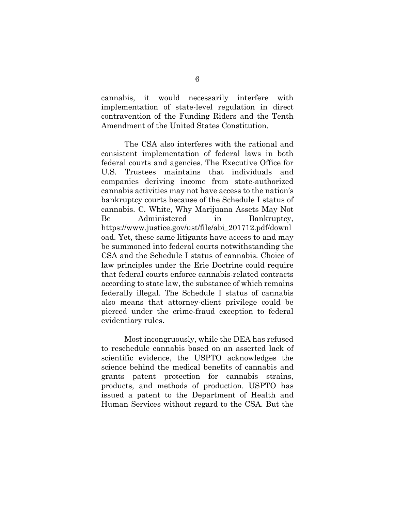cannabis, it would necessarily interfere with implementation of state-level regulation in direct contravention of the Funding Riders and the Tenth Amendment of the United States Constitution.

The CSA also interferes with the rational and consistent implementation of federal laws in both federal courts and agencies. The Executive Office for U.S. Trustees maintains that individuals and companies deriving income from state-authorized cannabis activities may not have access to the nation's bankruptcy courts because of the Schedule I status of cannabis. C. White, Why Marijuana Assets May Not Be Administered in Bankruptcy, https://www.justice.gov/ust/file/abi\_201712.pdf/downl oad. Yet, these same litigants have access to and may be summoned into federal courts notwithstanding the CSA and the Schedule I status of cannabis. Choice of law principles under the Erie Doctrine could require that federal courts enforce cannabis-related contracts according to state law, the substance of which remains federally illegal. The Schedule I status of cannabis also means that attorney-client privilege could be pierced under the crime-fraud exception to federal evidentiary rules.

Most incongruously, while the DEA has refused to reschedule cannabis based on an asserted lack of scientific evidence, the USPTO acknowledges the science behind the medical benefits of cannabis and grants patent protection for cannabis strains, products, and methods of production. USPTO has issued a patent to the Department of Health and Human Services without regard to the CSA. But the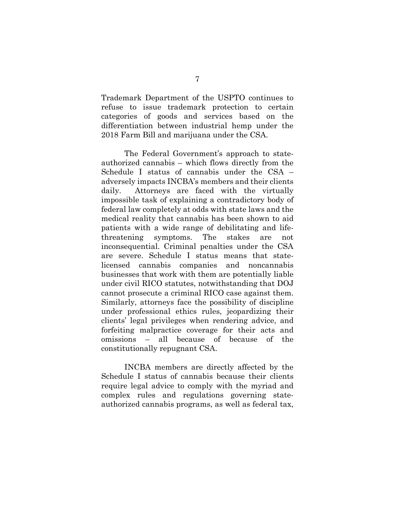Trademark Department of the USPTO continues to refuse to issue trademark protection to certain categories of goods and services based on the differentiation between industrial hemp under the 2018 Farm Bill and marijuana under the CSA.

The Federal Government's approach to stateauthorized cannabis – which flows directly from the Schedule I status of cannabis under the CSA – adversely impacts INCBA's members and their clients daily. Attorneys are faced with the virtually impossible task of explaining a contradictory body of federal law completely at odds with state laws and the medical reality that cannabis has been shown to aid patients with a wide range of debilitating and lifethreatening symptoms. The stakes are not inconsequential. Criminal penalties under the CSA are severe. Schedule I status means that statelicensed cannabis companies and noncannabis businesses that work with them are potentially liable under civil RICO statutes, notwithstanding that DOJ cannot prosecute a criminal RICO case against them. Similarly, attorneys face the possibility of discipline under professional ethics rules, jeopardizing their clients' legal privileges when rendering advice, and forfeiting malpractice coverage for their acts and omissions – all because of because of the constitutionally repugnant CSA.

INCBA members are directly affected by the Schedule I status of cannabis because their clients require legal advice to comply with the myriad and complex rules and regulations governing stateauthorized cannabis programs, as well as federal tax,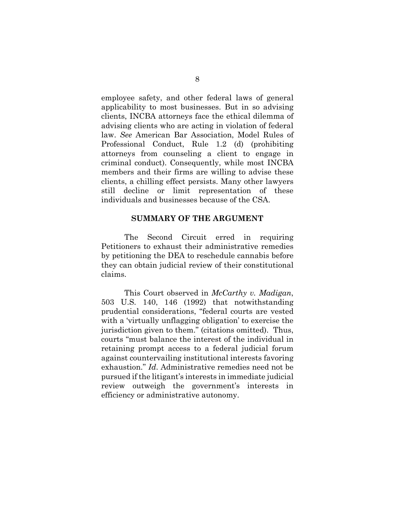employee safety, and other federal laws of general applicability to most businesses. But in so advising clients, INCBA attorneys face the ethical dilemma of advising clients who are acting in violation of federal law. *See* American Bar Association, Model Rules of Professional Conduct, Rule 1.2 (d) (prohibiting attorneys from counseling a client to engage in criminal conduct). Consequently, while most INCBA members and their firms are willing to advise these clients, a chilling effect persists. Many other lawyers still decline or limit representation of these individuals and businesses because of the CSA.

#### **SUMMARY OF THE ARGUMENT**

The Second Circuit erred in requiring Petitioners to exhaust their administrative remedies by petitioning the DEA to reschedule cannabis before they can obtain judicial review of their constitutional claims.

This Court observed in *McCarthy v. Madigan*, 503 U.S. 140, 146 (1992) that notwithstanding prudential considerations, "federal courts are vested with a 'virtually unflagging obligation' to exercise the jurisdiction given to them." (citations omitted). Thus, courts "must balance the interest of the individual in retaining prompt access to a federal judicial forum against countervailing institutional interests favoring exhaustion." *Id*. Administrative remedies need not be pursued if the litigant's interests in immediate judicial review outweigh the government's interests in efficiency or administrative autonomy.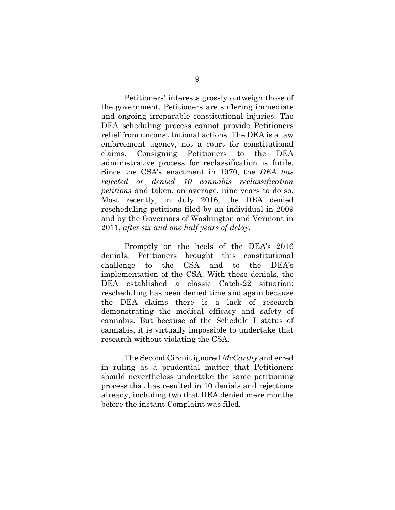Petitioners' interests grossly outweigh those of the government. Petitioners are suffering immediate and ongoing irreparable constitutional injuries. The DEA scheduling process cannot provide Petitioners relief from unconstitutional actions. The DEA is a law enforcement agency, not a court for constitutional claims. Consigning Petitioners to the DEA administrative process for reclassification is futile. Since the CSA's enactment in 1970, the *DEA has rejected or denied 10 cannabis reclassification petitions* and taken, on average, nine years to do so. Most recently, in July 2016, the DEA denied rescheduling petitions filed by an individual in 2009 and by the Governors of Washington and Vermont in 2011, *after six and one half years of delay*.

Promptly on the heels of the DEA's 2016 denials, Petitioners brought this constitutional challenge to the CSA and to the DEA's implementation of the CSA. With these denials, the DEA established a classic Catch-22 situation: rescheduling has been denied time and again because the DEA claims there is a lack of research demonstrating the medical efficacy and safety of cannabis. But because of the Schedule I status of cannabis, it is virtually impossible to undertake that research without violating the CSA.

The Second Circuit ignored *McCarthy* and erred in ruling as a prudential matter that Petitioners should nevertheless undertake the same petitioning process that has resulted in 10 denials and rejections already, including two that DEA denied mere months before the instant Complaint was filed.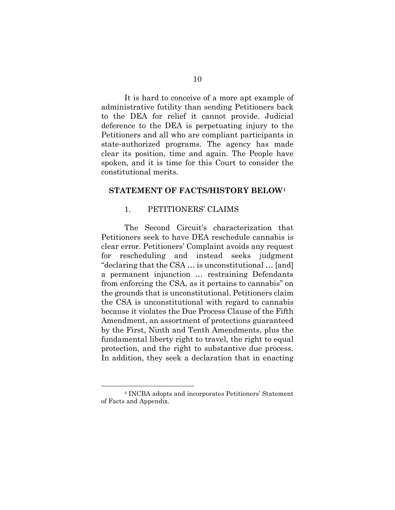It is hard to conceive of a more apt example of administrative futility than sending Petitioners back to the DEA for relief it cannot provide. Judicial deference to the DEA is perpetuating injury to the Petitioners and all who are compliant participants in state-authorized programs. The agency has made clear its position, time and again. The People have spoken, and it is time for this Court to consider the constitutional merits.

#### **STATEMENT OF FACTS/HISTORY BELOW**[4](#page-15-0)

#### 1. PETITIONERS' CLAIMS

The Second Circuit's characterization that Petitioners seek to have DEA reschedule cannabis is clear error. Petitioners' Complaint avoids any request for rescheduling and instead seeks judgment "declaring that the CSA … is unconstitutional … [and] a permanent injunction … restraining Defendants from enforcing the CSA, as it pertains to cannabis" on the grounds that is unconstitutional. Petitioners claim the CSA is unconstitutional with regard to cannabis because it violates the Due Process Clause of the Fifth Amendment, an assortment of protections guaranteed by the First, Ninth and Tenth Amendments, plus the fundamental liberty right to travel, the right to equal protection, and the right to substantive due process. In addition, they seek a declaration that in enacting

<span id="page-15-0"></span><sup>4</sup> INCBA adopts and incorporates Petitioners' Statement of Facts and Appendix.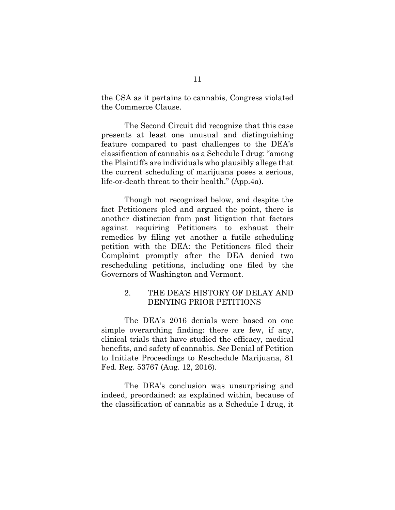the CSA as it pertains to cannabis, Congress violated the Commerce Clause.

The Second Circuit did recognize that this case presents at least one unusual and distinguishing feature compared to past challenges to the DEA's classification of cannabis as a Schedule I drug: "among the Plaintiffs are individuals who plausibly allege that the current scheduling of marijuana poses a serious, life-or-death threat to their health." (App.4a).

Though not recognized below, and despite the fact Petitioners pled and argued the point, there is another distinction from past litigation that factors against requiring Petitioners to exhaust their remedies by filing yet another a futile scheduling petition with the DEA: the Petitioners filed their Complaint promptly after the DEA denied two rescheduling petitions, including one filed by the Governors of Washington and Vermont.

## 2. THE DEA'S HISTORY OF DELAY AND DENYING PRIOR PETITIONS

The DEA's 2016 denials were based on one simple overarching finding: there are few, if any, clinical trials that have studied the efficacy, medical benefits, and safety of cannabis. *See* Denial of Petition to Initiate Proceedings to Reschedule Marijuana, 81 Fed. Reg. 53767 (Aug. 12, 2016).

The DEA's conclusion was unsurprising and indeed, preordained: as explained within, because of the classification of cannabis as a Schedule I drug, it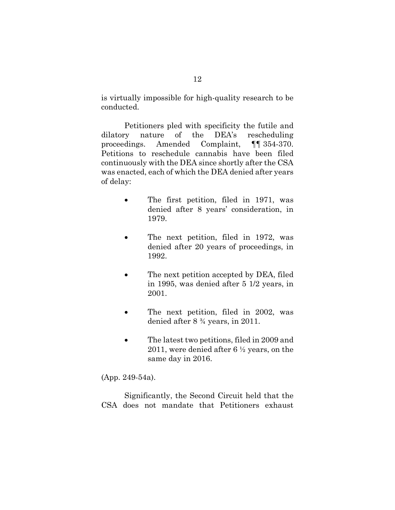is virtually impossible for high-quality research to be conducted.

Petitioners pled with specificity the futile and dilatory nature of the DEA's rescheduling proceedings. Amended Complaint, ¶¶ 354-370. Petitions to reschedule cannabis have been filed continuously with the DEA since shortly after the CSA was enacted, each of which the DEA denied after years of delay:

- The first petition, filed in 1971, was denied after 8 years' consideration, in 1979.
- The next petition, filed in 1972, was denied after 20 years of proceedings, in 1992.
- The next petition accepted by DEA, filed in 1995, was denied after 5 1/2 years, in 2001.
- The next petition, filed in 2002, was denied after 8 ¾ years, in 2011.
- The latest two petitions, filed in 2009 and 2011, were denied after 6 ½ years, on the same day in 2016.

(App. 249-54a).

Significantly, the Second Circuit held that the CSA does not mandate that Petitioners exhaust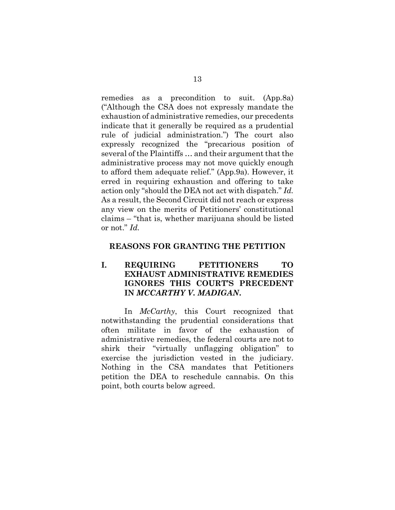remedies as a precondition to suit. (App.8a) ("Although the CSA does not expressly mandate the exhaustion of administrative remedies, our precedents indicate that it generally be required as a prudential rule of judicial administration.") The court also expressly recognized the "precarious position of several of the Plaintiffs … and their argument that the administrative process may not move quickly enough to afford them adequate relief." (App.9a). However, it erred in requiring exhaustion and offering to take action only "should the DEA not act with dispatch." *Id.* As a result, the Second Circuit did not reach or express any view on the merits of Petitioners' constitutional claims – "that is, whether marijuana should be listed or not." *Id.*

#### **REASONS FOR GRANTING THE PETITION**

# **I. REQUIRING PETITIONERS TO EXHAUST ADMINISTRATIVE REMEDIES IGNORES THIS COURT'S PRECEDENT IN** *MCCARTHY V. MADIGAN***.**

In *McCarthy*, this Court recognized that notwithstanding the prudential considerations that often militate in favor of the exhaustion of administrative remedies, the federal courts are not to shirk their "virtually unflagging obligation" to exercise the jurisdiction vested in the judiciary. Nothing in the CSA mandates that Petitioners petition the DEA to reschedule cannabis. On this point, both courts below agreed.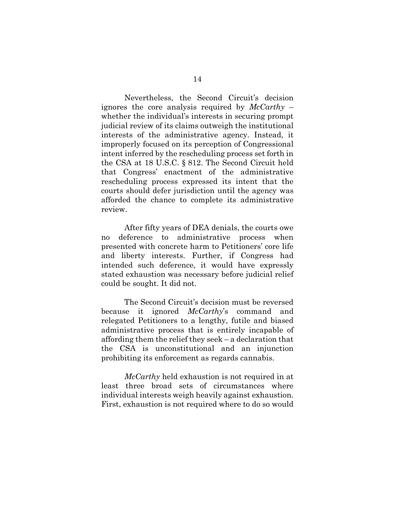Nevertheless, the Second Circuit's decision ignores the core analysis required by *McCarthy* – whether the individual's interests in securing prompt judicial review of its claims outweigh the institutional interests of the administrative agency. Instead, it improperly focused on its perception of Congressional intent inferred by the rescheduling process set forth in the CSA at 18 U.S.C. § 812. The Second Circuit held that Congress' enactment of the administrative rescheduling process expressed its intent that the courts should defer jurisdiction until the agency was afforded the chance to complete its administrative review.

After fifty years of DEA denials, the courts owe no deference to administrative process when presented with concrete harm to Petitioners' core life and liberty interests. Further, if Congress had intended such deference, it would have expressly stated exhaustion was necessary before judicial relief could be sought. It did not.

The Second Circuit's decision must be reversed because it ignored *McCarthy*'s command and relegated Petitioners to a lengthy, futile and biased administrative process that is entirely incapable of affording them the relief they seek – a declaration that the CSA is unconstitutional and an injunction prohibiting its enforcement as regards cannabis.

*McCarthy* held exhaustion is not required in at least three broad sets of circumstances where individual interests weigh heavily against exhaustion. First, exhaustion is not required where to do so would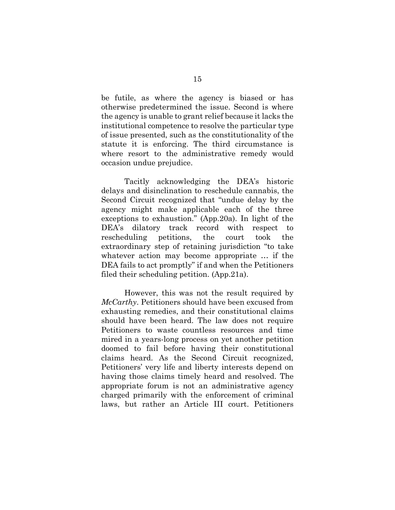be futile, as where the agency is biased or has otherwise predetermined the issue. Second is where the agency is unable to grant relief because it lacks the institutional competence to resolve the particular type of issue presented, such as the constitutionality of the statute it is enforcing. The third circumstance is where resort to the administrative remedy would occasion undue prejudice.

Tacitly acknowledging the DEA's historic delays and disinclination to reschedule cannabis, the Second Circuit recognized that "undue delay by the agency might make applicable each of the three exceptions to exhaustion." (App.20a). In light of the DEA's dilatory track record with respect to rescheduling petitions, the court took the extraordinary step of retaining jurisdiction "to take whatever action may become appropriate … if the DEA fails to act promptly" if and when the Petitioners filed their scheduling petition. (App.21a).

However, this was not the result required by *McCarthy*. Petitioners should have been excused from exhausting remedies, and their constitutional claims should have been heard. The law does not require Petitioners to waste countless resources and time mired in a years-long process on yet another petition doomed to fail before having their constitutional claims heard. As the Second Circuit recognized, Petitioners' very life and liberty interests depend on having those claims timely heard and resolved. The appropriate forum is not an administrative agency charged primarily with the enforcement of criminal laws, but rather an Article III court. Petitioners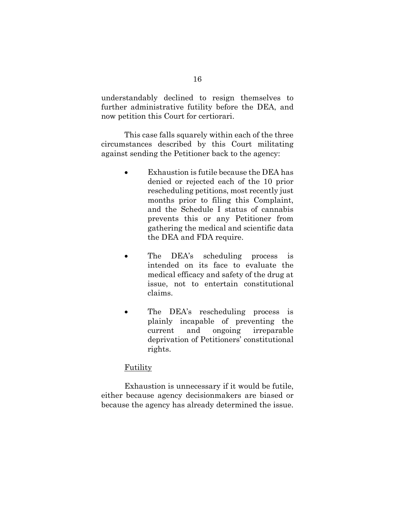understandably declined to resign themselves to further administrative futility before the DEA, and now petition this Court for certiorari.

This case falls squarely within each of the three circumstances described by this Court militating against sending the Petitioner back to the agency:

- Exhaustion is futile because the DEA has denied or rejected each of the 10 prior rescheduling petitions, most recently just months prior to filing this Complaint, and the Schedule I status of cannabis prevents this or any Petitioner from gathering the medical and scientific data the DEA and FDA require.
- The DEA's scheduling process is intended on its face to evaluate the medical efficacy and safety of the drug at issue, not to entertain constitutional claims.
- The DEA's rescheduling process is plainly incapable of preventing the current and ongoing irreparable deprivation of Petitioners' constitutional rights.

## **Futility**

Exhaustion is unnecessary if it would be futile, either because agency decisionmakers are biased or because the agency has already determined the issue.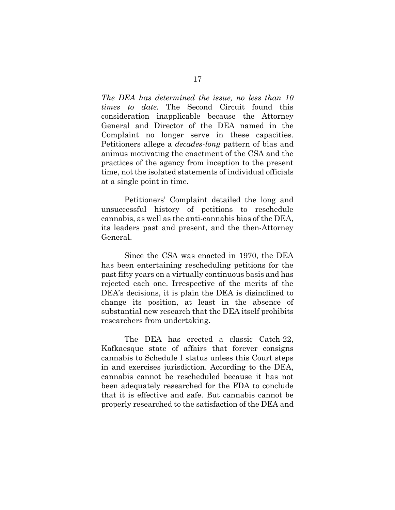*The DEA has determined the issue, no less than 10 times to date.* The Second Circuit found this consideration inapplicable because the Attorney General and Director of the DEA named in the Complaint no longer serve in these capacities. Petitioners allege a *decades-long* pattern of bias and animus motivating the enactment of the CSA and the practices of the agency from inception to the present time, not the isolated statements of individual officials at a single point in time.

Petitioners' Complaint detailed the long and unsuccessful history of petitions to reschedule cannabis, as well as the anti-cannabis bias of the DEA, its leaders past and present, and the then-Attorney General.

Since the CSA was enacted in 1970, the DEA has been entertaining rescheduling petitions for the past fifty years on a virtually continuous basis and has rejected each one. Irrespective of the merits of the DEA's decisions, it is plain the DEA is disinclined to change its position, at least in the absence of substantial new research that the DEA itself prohibits researchers from undertaking.

The DEA has erected a classic Catch-22, Kafkaesque state of affairs that forever consigns cannabis to Schedule I status unless this Court steps in and exercises jurisdiction. According to the DEA, cannabis cannot be rescheduled because it has not been adequately researched for the FDA to conclude that it is effective and safe. But cannabis cannot be properly researched to the satisfaction of the DEA and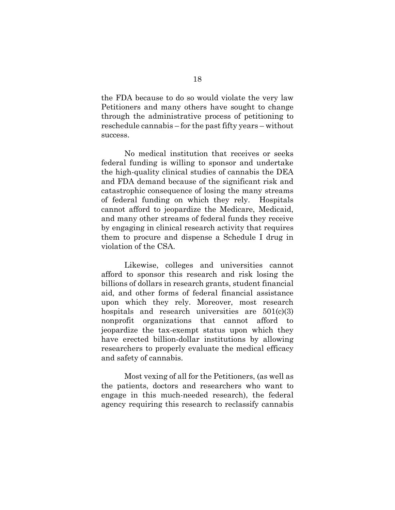the FDA because to do so would violate the very law Petitioners and many others have sought to change through the administrative process of petitioning to reschedule cannabis – for the past fifty years – without success.

No medical institution that receives or seeks federal funding is willing to sponsor and undertake the high-quality clinical studies of cannabis the DEA and FDA demand because of the significant risk and catastrophic consequence of losing the many streams of federal funding on which they rely. Hospitals cannot afford to jeopardize the Medicare, Medicaid, and many other streams of federal funds they receive by engaging in clinical research activity that requires them to procure and dispense a Schedule I drug in violation of the CSA.

Likewise, colleges and universities cannot afford to sponsor this research and risk losing the billions of dollars in research grants, student financial aid, and other forms of federal financial assistance upon which they rely. Moreover, most research hospitals and research universities are  $501(c)(3)$ nonprofit organizations that cannot afford to jeopardize the tax-exempt status upon which they have erected billion-dollar institutions by allowing researchers to properly evaluate the medical efficacy and safety of cannabis.

Most vexing of all for the Petitioners, (as well as the patients, doctors and researchers who want to engage in this much-needed research), the federal agency requiring this research to reclassify cannabis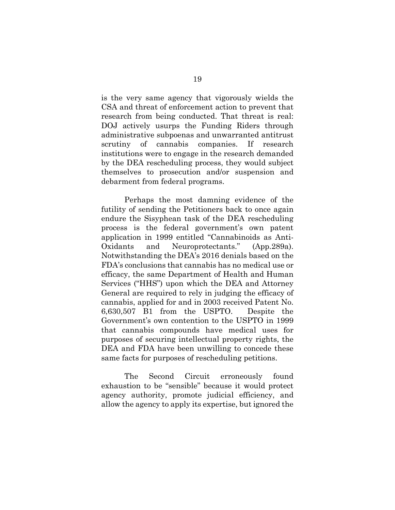is the very same agency that vigorously wields the CSA and threat of enforcement action to prevent that research from being conducted. That threat is real: DOJ actively usurps the Funding Riders through administrative subpoenas and unwarranted antitrust scrutiny of cannabis companies. If research institutions were to engage in the research demanded by the DEA rescheduling process, they would subject themselves to prosecution and/or suspension and debarment from federal programs.

Perhaps the most damning evidence of the futility of sending the Petitioners back to once again endure the Sisyphean task of the DEA rescheduling process is the federal government's own patent application in 1999 entitled "Cannabinoids as Anti-Oxidants and Neuroprotectants." (App.289a). Notwithstanding the DEA's 2016 denials based on the FDA's conclusions that cannabis has no medical use or efficacy, the same Department of Health and Human Services ("HHS") upon which the DEA and Attorney General are required to rely in judging the efficacy of cannabis, applied for and in 2003 received Patent No. 6,630,507 B1 from the USPTO. Despite the Government's own contention to the USPTO in 1999 that cannabis compounds have medical uses for purposes of securing intellectual property rights, the DEA and FDA have been unwilling to concede these same facts for purposes of rescheduling petitions.

The Second Circuit erroneously found exhaustion to be "sensible" because it would protect agency authority, promote judicial efficiency, and allow the agency to apply its expertise, but ignored the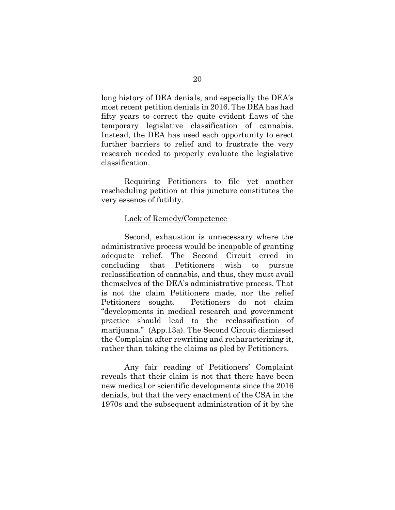long history of DEA denials, and especially the DEA's most recent petition denials in 2016. The DEA has had fifty years to correct the quite evident flaws of the temporary legislative classification of cannabis. Instead, the DEA has used each opportunity to erect further barriers to relief and to frustrate the very research needed to properly evaluate the legislative classification.

Requiring Petitioners to file yet another rescheduling petition at this juncture constitutes the very essence of futility.

#### Lack of Remedy/Competence

Second, exhaustion is unnecessary where the administrative process would be incapable of granting adequate relief. The Second Circuit erred in concluding that Petitioners wish to pursue reclassification of cannabis, and thus, they must avail themselves of the DEA's administrative process. That is not the claim Petitioners made, nor the relief Petitioners sought. Petitioners do not claim "developments in medical research and government practice should lead to the reclassification of marijuana." (App.13a). The Second Circuit dismissed the Complaint after rewriting and recharacterizing it, rather than taking the claims as pled by Petitioners.

Any fair reading of Petitioners' Complaint reveals that their claim is not that there have been new medical or scientific developments since the 2016 denials, but that the very enactment of the CSA in the 1970s and the subsequent administration of it by the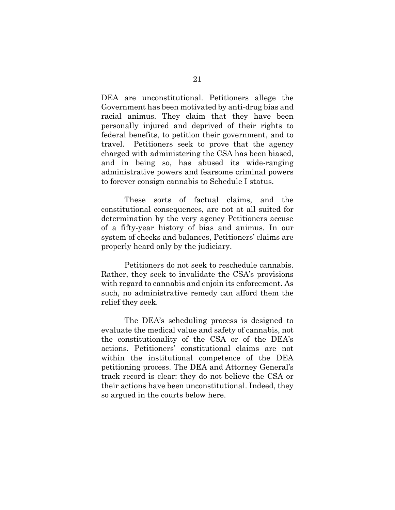DEA are unconstitutional. Petitioners allege the Government has been motivated by anti-drug bias and racial animus. They claim that they have been personally injured and deprived of their rights to federal benefits, to petition their government, and to travel. Petitioners seek to prove that the agency charged with administering the CSA has been biased, and in being so, has abused its wide-ranging administrative powers and fearsome criminal powers to forever consign cannabis to Schedule I status.

These sorts of factual claims, and the constitutional consequences, are not at all suited for determination by the very agency Petitioners accuse of a fifty-year history of bias and animus. In our system of checks and balances, Petitioners' claims are properly heard only by the judiciary.

Petitioners do not seek to reschedule cannabis. Rather, they seek to invalidate the CSA's provisions with regard to cannabis and enjoin its enforcement. As such, no administrative remedy can afford them the relief they seek.

The DEA's scheduling process is designed to evaluate the medical value and safety of cannabis, not the constitutionality of the CSA or of the DEA's actions. Petitioners' constitutional claims are not within the institutional competence of the DEA petitioning process. The DEA and Attorney General's track record is clear: they do not believe the CSA or their actions have been unconstitutional. Indeed, they so argued in the courts below here.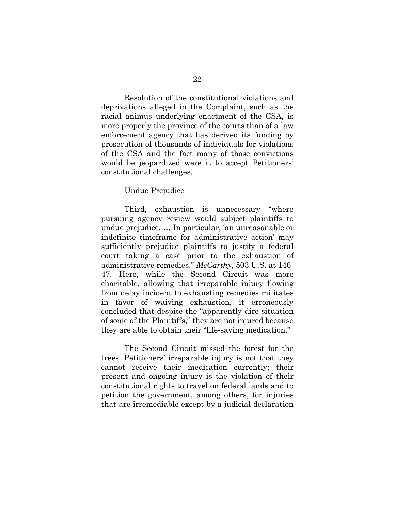Resolution of the constitutional violations and deprivations alleged in the Complaint, such as the racial animus underlying enactment of the CSA, is more properly the province of the courts than of a law enforcement agency that has derived its funding by prosecution of thousands of individuals for violations of the CSA and the fact many of those convictions would be jeopardized were it to accept Petitioners' constitutional challenges.

#### Undue Prejudice

Third, exhaustion is unnecessary "where pursuing agency review would subject plaintiffs to undue prejudice. … In particular, 'an unreasonable or indefinite timeframe for administrative action' may sufficiently prejudice plaintiffs to justify a federal court taking a case prior to the exhaustion of administrative remedies." *McCarthy*, 503 U.S. at 146- 47. Here, while the Second Circuit was more charitable, allowing that irreparable injury flowing from delay incident to exhausting remedies militates in favor of waiving exhaustion, it erroneously concluded that despite the "apparently dire situation of some of the Plaintiffs," they are not injured because they are able to obtain their "life-saving medication."

The Second Circuit missed the forest for the trees. Petitioners' irreparable injury is not that they cannot receive their medication currently; their present and ongoing injury is the violation of their constitutional rights to travel on federal lands and to petition the government, among others, for injuries that are irremediable except by a judicial declaration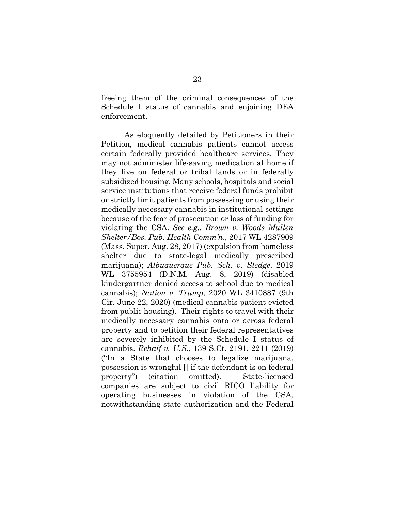freeing them of the criminal consequences of the Schedule I status of cannabis and enjoining DEA enforcement.

As eloquently detailed by Petitioners in their Petition, medical cannabis patients cannot access certain federally provided healthcare services. They may not administer life-saving medication at home if they live on federal or tribal lands or in federally subsidized housing. Many schools, hospitals and social service institutions that receive federal funds prohibit or strictly limit patients from possessing or using their medically necessary cannabis in institutional settings because of the fear of prosecution or loss of funding for violating the CSA. *See e.g., Brown v. Woods Mullen Shelter/Bos. Pub. Health Comm'n*., 2017 WL 4287909 (Mass. Super. Aug. 28, 2017) (expulsion from homeless shelter due to state-legal medically prescribed marijuana); *Albuquerque Pub. Sch. v. Sledge*, 2019 WL 3755954 (D.N.M. Aug. 8, 2019) (disabled kindergartner denied access to school due to medical cannabis); *Nation v. Trump*, 2020 WL 3410887 (9th Cir. June 22, 2020) (medical cannabis patient evicted from public housing). Their rights to travel with their medically necessary cannabis onto or across federal property and to petition their federal representatives are severely inhibited by the Schedule I status of cannabis. *Rehaif v. U.S.*, 139 S.Ct. 2191, 2211 (2019) ("In a State that chooses to legalize marijuana, possession is wrongful  $\parallel$  if the defendant is on federal property") (citation omitted). State-licensed companies are subject to civil RICO liability for operating businesses in violation of the CSA, notwithstanding state authorization and the Federal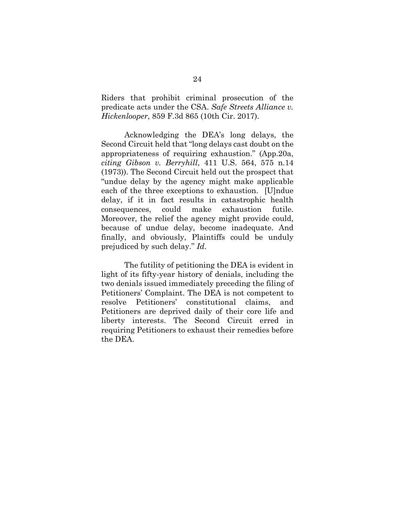Riders that prohibit criminal prosecution of the predicate acts under the CSA. *Safe Streets Alliance v. Hickenlooper*, 859 F.3d 865 (10th Cir. 2017).

Acknowledging the DEA's long delays, the Second Circuit held that "long delays cast doubt on the appropriateness of requiring exhaustion." (App.20a, *citing Gibson v. Berryhill*, 411 U.S. 564, 575 n.14 (1973)). The Second Circuit held out the prospect that "undue delay by the agency might make applicable each of the three exceptions to exhaustion. [U]ndue delay, if it in fact results in catastrophic health consequences, could make exhaustion futile. Moreover, the relief the agency might provide could, because of undue delay, become inadequate. And finally, and obviously, Plaintiffs could be unduly prejudiced by such delay." *Id*.

The futility of petitioning the DEA is evident in light of its fifty-year history of denials, including the two denials issued immediately preceding the filing of Petitioners' Complaint. The DEA is not competent to resolve Petitioners' constitutional claims, and Petitioners are deprived daily of their core life and liberty interests. The Second Circuit erred in requiring Petitioners to exhaust their remedies before the DEA.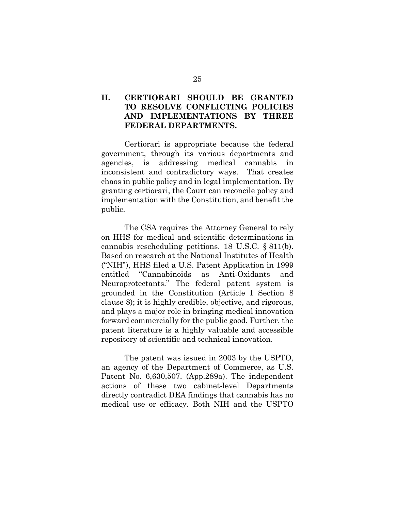# **II. CERTIORARI SHOULD BE GRANTED TO RESOLVE CONFLICTING POLICIES AND IMPLEMENTATIONS BY THREE FEDERAL DEPARTMENTS.**

Certiorari is appropriate because the federal government, through its various departments and agencies, is addressing medical cannabis in inconsistent and contradictory ways. That creates chaos in public policy and in legal implementation. By granting certiorari, the Court can reconcile policy and implementation with the Constitution, and benefit the public.

The CSA requires the Attorney General to rely on HHS for medical and scientific determinations in cannabis rescheduling petitions. 18 U.S.C. § 811(b). Based on research at the National Institutes of Health ("NIH"), HHS filed a U.S. Patent Application in 1999 entitled "Cannabinoids as Anti-Oxidants and Neuroprotectants." The federal patent system is grounded in the Constitution (Article I Section 8 clause 8); it is highly credible, objective, and rigorous, and plays a major role in bringing medical innovation forward commercially for the public good. Further, the patent literature is a highly valuable and accessible repository of scientific and technical innovation.

The patent was issued in 2003 by the USPTO, an agency of the Department of Commerce, as U.S. Patent No. 6,630,507. (App.289a). The independent actions of these two cabinet-level Departments directly contradict DEA findings that cannabis has no medical use or efficacy. Both NIH and the USPTO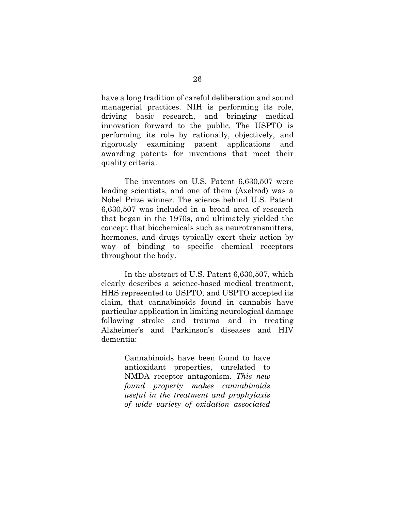have a long tradition of careful deliberation and sound managerial practices. NIH is performing its role, driving basic research, and bringing medical innovation forward to the public. The USPTO is performing its role by rationally, objectively, and rigorously examining patent applications and awarding patents for inventions that meet their quality criteria.

The inventors on U.S. Patent 6,630,507 were leading scientists, and one of them (Axelrod) was a Nobel Prize winner. The science behind U.S. Patent 6,630,507 was included in a broad area of research that began in the 1970s, and ultimately yielded the concept that biochemicals such as neurotransmitters, hormones, and drugs typically exert their action by way of binding to specific chemical receptors throughout the body.

In the abstract of U.S. Patent 6,630,507, which clearly describes a science-based medical treatment, HHS represented to USPTO, and USPTO accepted its claim, that cannabinoids found in cannabis have particular application in limiting neurological damage following stroke and trauma and in treating Alzheimer's and Parkinson's diseases and HIV dementia:

> Cannabinoids have been found to have antioxidant properties, unrelated to NMDA receptor antagonism. *This new found property makes cannabinoids useful in the treatment and prophylaxis of wide variety of oxidation associated*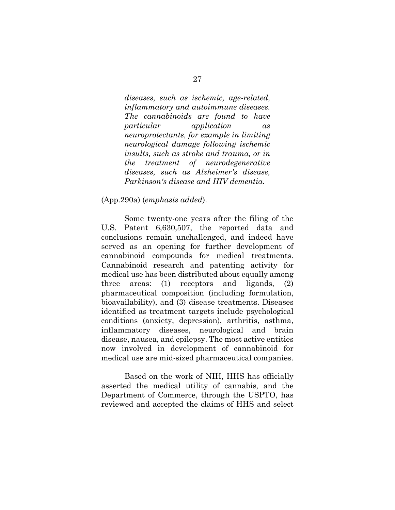*diseases, such as ischemic, age-related, inflammatory and autoimmune diseases. The cannabinoids are found to have particular application as neuroprotectants, for example in limiting neurological damage following ischemic insults, such as stroke and trauma, or in the treatment of neurodegenerative diseases, such as Alzheimer's disease, Parkinson's disease and HIV dementia.* 

(App.290a) (*emphasis added*).

Some twenty-one years after the filing of the U.S. Patent 6,630,507, the reported data and conclusions remain unchallenged, and indeed have served as an opening for further development of cannabinoid compounds for medical treatments. Cannabinoid research and patenting activity for medical use has been distributed about equally among three areas: (1) receptors and ligands, (2) pharmaceutical composition (including formulation, bioavailability), and (3) disease treatments. Diseases identified as treatment targets include psychological conditions (anxiety, depression), arthritis, asthma, inflammatory diseases, neurological and brain disease, nausea, and epilepsy. The most active entities now involved in development of cannabinoid for medical use are mid-sized pharmaceutical companies.

Based on the work of NIH, HHS has officially asserted the medical utility of cannabis, and the Department of Commerce, through the USPTO, has reviewed and accepted the claims of HHS and select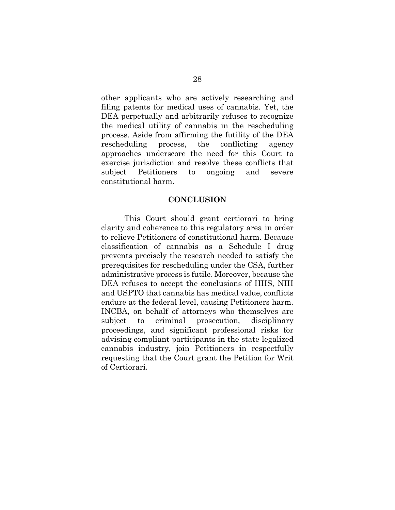other applicants who are actively researching and filing patents for medical uses of cannabis. Yet, the DEA perpetually and arbitrarily refuses to recognize the medical utility of cannabis in the rescheduling process. Aside from affirming the futility of the DEA rescheduling process, the conflicting agency approaches underscore the need for this Court to exercise jurisdiction and resolve these conflicts that subject Petitioners to ongoing and severe constitutional harm.

#### **CONCLUSION**

This Court should grant certiorari to bring clarity and coherence to this regulatory area in order to relieve Petitioners of constitutional harm. Because classification of cannabis as a Schedule I drug prevents precisely the research needed to satisfy the prerequisites for rescheduling under the CSA, further administrative process is futile. Moreover, because the DEA refuses to accept the conclusions of HHS, NIH and USPTO that cannabis has medical value, conflicts endure at the federal level, causing Petitioners harm. INCBA, on behalf of attorneys who themselves are subject to criminal prosecution, disciplinary proceedings, and significant professional risks for advising compliant participants in the state-legalized cannabis industry, join Petitioners in respectfully requesting that the Court grant the Petition for Writ of Certiorari.